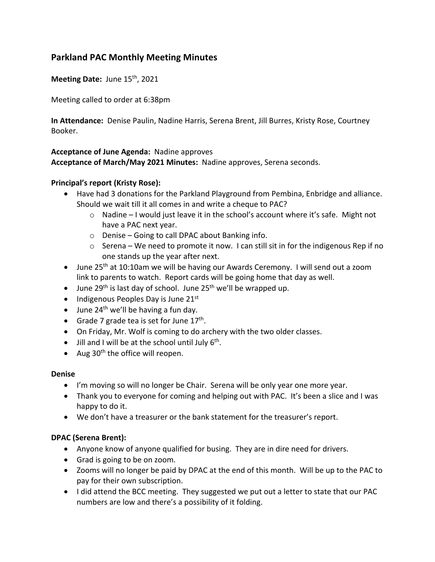# **Parkland PAC Monthly Meeting Minutes**

Meeting Date: June 15<sup>th</sup>, 2021

Meeting called to order at 6:38pm

**In Attendance:** Denise Paulin, Nadine Harris, Serena Brent, Jill Burres, Kristy Rose, Courtney Booker.

### **Acceptance of June Agenda:** Nadine approves

**Acceptance of March/May 2021 Minutes:** Nadine approves, Serena seconds.

## **Principal's report (Kristy Rose):**

- Have had 3 donations for the Parkland Playground from Pembina, Enbridge and alliance. Should we wait till it all comes in and write a cheque to PAC?
	- o Nadine I would just leave it in the school's account where it's safe. Might not have a PAC next year.
	- o Denise Going to call DPAC about Banking info.
	- o Serena We need to promote it now. I can still sit in for the indigenous Rep if no one stands up the year after next.
- June 25<sup>th</sup> at 10:10am we will be having our Awards Ceremony. I will send out a zoom link to parents to watch. Report cards will be going home that day as well.
- June 29<sup>th</sup> is last day of school. June 25<sup>th</sup> we'll be wrapped up.
- Indigenous Peoples Day is June  $21<sup>st</sup>$
- June  $24<sup>th</sup>$  we'll be having a fun day.
- Grade 7 grade tea is set for June  $17<sup>th</sup>$ .
- On Friday, Mr. Wolf is coming to do archery with the two older classes.
- Jill and I will be at the school until July  $6<sup>th</sup>$ .
- Aug  $30<sup>th</sup>$  the office will reopen.

### **Denise**

- I'm moving so will no longer be Chair. Serena will be only year one more year.
- Thank you to everyone for coming and helping out with PAC. It's been a slice and I was happy to do it.
- We don't have a treasurer or the bank statement for the treasurer's report.

### **DPAC (Serena Brent):**

- Anyone know of anyone qualified for busing. They are in dire need for drivers.
- Grad is going to be on zoom.
- Zooms will no longer be paid by DPAC at the end of this month. Will be up to the PAC to pay for their own subscription.
- I did attend the BCC meeting. They suggested we put out a letter to state that our PAC numbers are low and there's a possibility of it folding.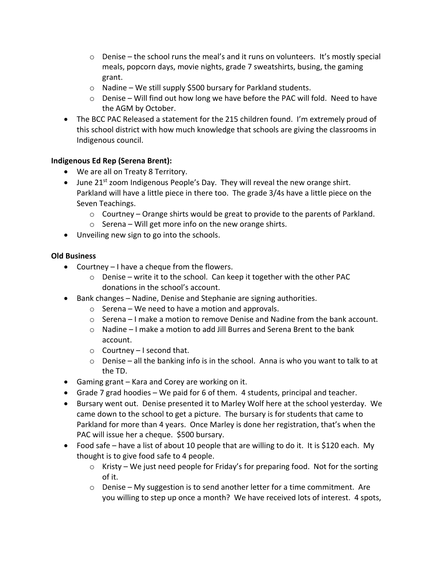- $\circ$  Denise the school runs the meal's and it runs on volunteers. It's mostly special meals, popcorn days, movie nights, grade 7 sweatshirts, busing, the gaming grant.
- $\circ$  Nadine We still supply \$500 bursary for Parkland students.
- $\circ$  Denise Will find out how long we have before the PAC will fold. Need to have the AGM by October.
- The BCC PAC Released a statement for the 215 children found. I'm extremely proud of this school district with how much knowledge that schools are giving the classrooms in Indigenous council.

### **Indigenous Ed Rep (Serena Brent):**

- We are all on Treaty 8 Territory.
- June  $21^{st}$  zoom Indigenous People's Day. They will reveal the new orange shirt. Parkland will have a little piece in there too. The grade 3/4s have a little piece on the Seven Teachings.
	- $\circ$  Courtney Orange shirts would be great to provide to the parents of Parkland.
	- $\circ$  Serena Will get more info on the new orange shirts.
- Unveiling new sign to go into the schools.

### **Old Business**

- Courtney I have a cheque from the flowers.
	- o Denise write it to the school. Can keep it together with the other PAC donations in the school's account.
- Bank changes Nadine, Denise and Stephanie are signing authorities.
	- o Serena We need to have a motion and approvals.
	- $\circ$  Serena I make a motion to remove Denise and Nadine from the bank account.
	- $\circ$  Nadine I make a motion to add Jill Burres and Serena Brent to the bank account.
	- $\circ$  Courtney I second that.
	- $\circ$  Denise all the banking info is in the school. Anna is who you want to talk to at the TD.
- Gaming grant Kara and Corey are working on it.
- Grade 7 grad hoodies We paid for 6 of them. 4 students, principal and teacher.
- Bursary went out. Denise presented it to Marley Wolf here at the school yesterday. We came down to the school to get a picture. The bursary is for students that came to Parkland for more than 4 years. Once Marley is done her registration, that's when the PAC will issue her a cheque. \$500 bursary.
- Food safe have a list of about 10 people that are willing to do it. It is \$120 each. My thought is to give food safe to 4 people.
	- $\circ$  Kristy We just need people for Friday's for preparing food. Not for the sorting of it.
	- o Denise My suggestion is to send another letter for a time commitment. Are you willing to step up once a month? We have received lots of interest. 4 spots,